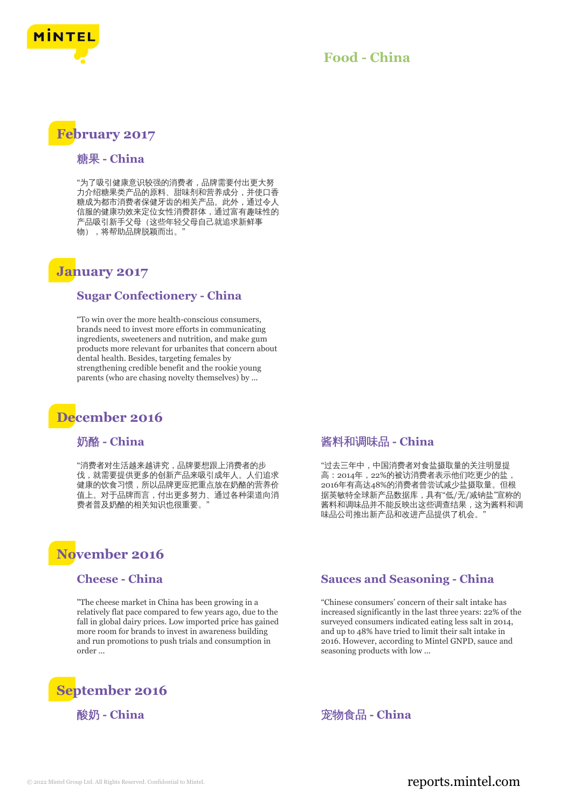

## **Food - China**

## **February 2017**

#### 糖果 **- China**

"为了吸引健康意识较强的消费者,品牌需要付出更大努 力介绍糖果类产品的原料、甜味剂和营养成分,并使口香 糖成为都市消费者保健牙齿的相关产品。此外,通过令人 信服的健康功效来定位女性消费群体,通过富有趣味性的 产品吸引新手父母(这些年轻父母自己就追求新鲜事 物), 将帮助品牌脱颖而出。

## **January 2017**

#### **Sugar Confectionery - China**

"To win over the more health-conscious consumers, brands need to invest more efforts in communicating ingredients, sweeteners and nutrition, and make gum products more relevant for urbanites that concern about dental health. Besides, targeting females by strengthening credible benefit and the rookie young parents (who are chasing novelty themselves) by ...

## **December 2016**

### 奶酪 **- China**

"消费者对生活越来越讲究,品牌要想跟上消费者的步 伐,就需要提供更多的创新产品来吸引成年人。人们追求 健康的饮食习惯,所以品牌更应把重点放在奶酪的营养价 值上。对于品牌而言,付出更多努力、通过各种渠道向消 费者普及奶酪的相关知识也很重要。

# **November 2016**

#### **Cheese - China**

"The cheese market in China has been growing in a relatively flat pace compared to few years ago, due to the fall in global dairy prices. Low imported price has gained more room for brands to invest in awareness building and run promotions to push trials and consumption in order ...



## 酱料和调味品 **- China**

"过去三年中,中国消费者对食盐摄取量的关注明显提 高:2014年,22%的被访消费者表示他们吃更少的盐, 2016年有高达48%的消费者曾尝试减少盐摄取量。但根 据英敏特全球新产品数据库,具有"低/无/减钠盐"宣称的 酱料和调味品并不能反映出这些调查结果,这为酱料和调 味品公司推出新产品和改进产品提供了机会。"

#### **Sauces and Seasoning - China**

"Chinese consumers' concern of their salt intake has increased significantly in the last three years: 22% of the surveyed consumers indicated eating less salt in 2014, and up to 48% have tried to limit their salt intake in 2016. However, according to Mintel GNPD, sauce and seasoning products with low ...

酸奶 **- China** 宠物食品 **- China**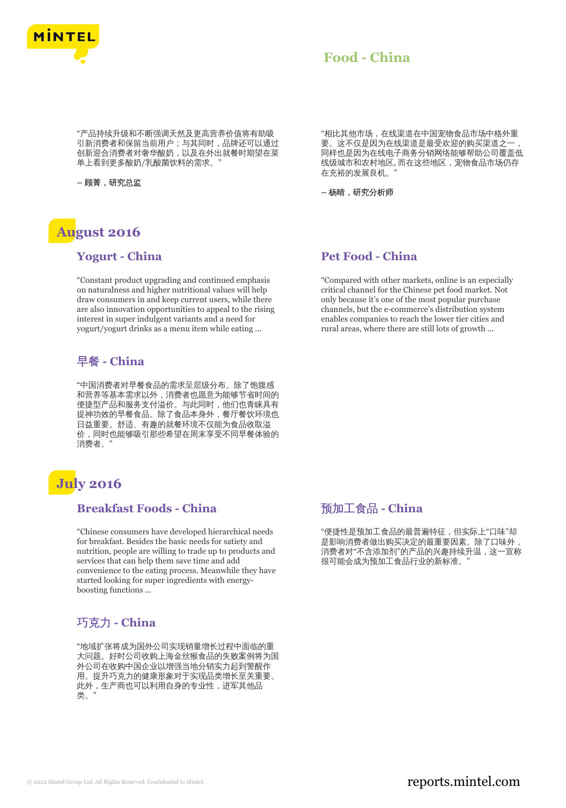

## **Food - China**

"产品持续升级和不断强调天然及更高营养价值将有助吸 引新消费者和保留当前用户;与其同时,品牌还可以通过 创新迎合消费者对奢华酸奶,以及在外出就餐时期望在菜 单上看到更多酸奶/乳酸菌饮料的需求。

**–** 顾菁,研究总监

# **August 2016**

#### **Yogurt - China**

"Constant product upgrading and continued emphasis on naturalness and higher nutritional values will help draw consumers in and keep current users, while there are also innovation opportunities to appeal to the rising interest in super indulgent variants and a need for yogurt/yogurt drinks as a menu item while eating ...

## 早餐 **- China**

"中国消费者对早餐食品的需求呈层级分布。除了饱腹感 和营养等基本需求以外,消费者也愿意为能够节省时间的 便捷型产品和服务支付溢价。与此同时,他们也青睐具有 提神功效的早餐食品。除了食品本身外,餐厅餐饮环境也 日益重要。舒适、有趣的就餐环境不仅能为食品收取溢 价,同时也能够吸引那些希望在周末享受不同早餐体验的 消费者。'

# **July 2016**

## **Breakfast Foods - China**

"Chinese consumers have developed hierarchical needs for breakfast. Besides the basic needs for satiety and nutrition, people are willing to trade up to products and services that can help them save time and add convenience to the eating process. Meanwhile they have started looking for super ingredients with energyboosting functions ...

## 巧克力 **- China**

"地域扩张将成为国外公司实现销量增长过程中面临的重 大问题。好时公司收购上海金丝猴食品的失败案例将为国 外公司在收购中国企业以增强当地分销实力起到警醒作 用。提升巧克力的健康形象对于实现品类增长至关重要。 此外,生产商也可以利用自身的专业性,进军其他品 类。"

"相比其他市场,在线渠道在中国宠物食品市场中格外重 要。这不仅是因为在线渠道是最受欢迎的购买渠道之一 同样也是因为在线电子商务分销网络能够帮助公司覆盖低 线级城市和农村地区, 而在这些地区, 宠物食品市场仍存 在充裕的发展良机。"

**–** 杨晴,研究分析师

## **Pet Food - China**

"Compared with other markets, online is an especially critical channel for the Chinese pet food market. Not only because it's one of the most popular purchase channels, but the e-commerce's distribution system enables companies to reach the lower tier cities and rural areas, where there are still lots of growth ...

## 预加工食品 **- China**

"便捷性是预加工食品的最普遍特征,但实际上"口味"却 是影响消费者做出购买决定的最重要因素。除了口味外, 消费者对"不含添加剂"的产品的兴趣持续升温,这一宣称 …<br>很可能会成为预加工食品行业的新标准。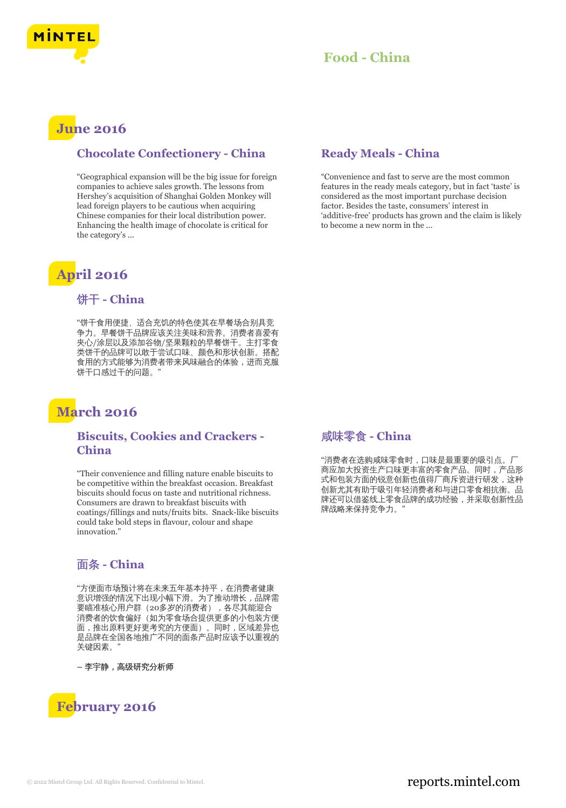

## **June 2016**

#### **Chocolate Confectionery - China**

"Geographical expansion will be the big issue for foreign companies to achieve sales growth. The lessons from Hershey's acquisition of Shanghai Golden Monkey will lead foreign players to be cautious when acquiring Chinese companies for their local distribution power. Enhancing the health image of chocolate is critical for the category's ...

# **April 2016**

## 饼干 **- China**

"饼干食用便捷、适合充饥的特色使其在早餐场合别具竞 争力。早餐饼干品牌应该关注美味和营养。消费者喜爱有 夹心/涂层以及添加谷物/坚果颗粒的早餐饼干。主打零食 类饼干的品牌可以敢于尝试口味、颜色和形状创新。搭配 食用的方式能够为消费者带来风味融合的体验,进而克服 饼干口感过干的问题。

## **March 2016**

#### **Biscuits, Cookies and Crackers - China**

"Their convenience and filling nature enable biscuits to be competitive within the breakfast occasion. Breakfast biscuits should focus on taste and nutritional richness. Consumers are drawn to breakfast biscuits with coatings/fillings and nuts/fruits bits. Snack-like biscuits could take bold steps in flavour, colour and shape innovation<sup>'</sup>

## 面条 **- China**

"方便面市场预计将在未来五年基本持平,在消费者健康 意识增强的情况下出现小幅下滑。为了推动增长,品牌需 要瞄准核心用户群(20多岁的消费者),各尽其能迎合 消费者的饮食偏好(如为零食场合提供更多的小包装方便 面,推出原料更好更考究的方便面)。同时,区域差异也 是品牌在全国各地推广不同的面条产品时应该予以重视的 关键因素。"

**–** 李宇静,高级研究分析师



## **Ready Meals - China**

"Convenience and fast to serve are the most common features in the ready meals category, but in fact 'taste' is considered as the most important purchase decision factor. Besides the taste, consumers' interest in 'additive-free' products has grown and the claim is likely to become a new norm in the ...

## 咸味零食 **- China**

"消费者在选购咸味零食时,口味是最重要的吸引点。厂 商应加大投资生产口味更丰富的零食产品。同时,产品形 式和包装方面的锐意创新也值得厂商斥资进行研发,这种 创新尤其有助于吸引年轻消费者和与进口零食相抗衡。品 牌还可以借鉴线上零食品牌的成功经验,并采取创新性品 牌战略来保持竞争力。"